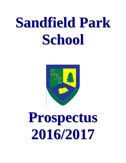# **Sandfield Park School**



# **Prospectus 2016/2017**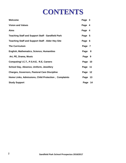### **CONTENTS**

| Welcome                                                  | Page 3  |     |
|----------------------------------------------------------|---------|-----|
| <b>Vision and Values</b>                                 | Page 4  |     |
| <b>Aims</b>                                              | Page 4  |     |
| <b>Teaching Staff and Support Staff - Sandfield Park</b> | Page 5  |     |
| <b>Teaching Staff and Support Staff - Alder Hey Site</b> | Page 6  |     |
| <b>The Curriculum</b>                                    | Page 7  |     |
| <b>English, Mathematics, Science, Humanities</b>         | Page    | - 8 |
| Art, PE, Drama, Music                                    | Page 9  |     |
| Computing/ I.C.T., P.S.H.E, R.E, Careers                 | Page 10 |     |
| School Day, Absence, Uniform, Jewellery                  | Page 11 |     |
| <b>Charges, Governors, Pastoral Care Discipline</b>      | Page 12 |     |
| Home Links, Admissions, Child Protection, Complaints     | Page    | 13  |
| <b>Study Support</b>                                     | Page 14 |     |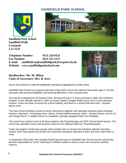### **SANDFIELD PARK SCHOOL**



**Sandfield Park School Sandfield Walk Liverpool L12 1LH**



**Telephone Number: 0151 228 0324 Fax Number: 0151 252 1273 E-mail: sandfield-ao@sandfieldpark.liverpool.sch.uk Website: www.sandfieldparkschool.com** 



#### **Headteacher: Mr. M. Hilton Chair of Governors: Mrs. B. Kerr**

*You are most welcome to contact the Headteacher and make an appointment to visit the school* 

Sandfield Park School is a purpose-built day school which serves the needs of secondary age 11-19 year old pupils with physical disabilities and learning difficulties in the Liverpool area.

The school is situated just off Queens Drive, Stoneycroft and is in close proximity to Alder Hey Childrens Hospital. It was officially opened in 1961 by Group Captain Douglas Bader and is set in a very pleasant location. Grass and trees surround the school building, and there is a school field and multi – purpose games area.

The main school building consists of seven classrooms together with specialist teaching areas including Science Laboratory, Technology Area, Library, Central Hall/Gymnasium, Multi – Sensory Room, and an Art and Design Room. In addition there is a separate, specially equipped Sixth Form Building.

The school has medical cover at all times together with Physiotherapy and NHS School based Nurses. The school has specialist rooms and treatment areas for the Medical Staff and Physiotherapists.

Pupils are taught in small class groups which enable them to receive the individual attention that they require. Each class group has at least two classroom assistants attached to them and more often three or more.

In September 2003 Alder Hey Hospital School became part of Sandfield Park School and the school also became responsible for Home Teaching for children unable to return to their own school for medical reasons.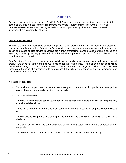#### **PARENTS**

An open door policy is in operation at Sandfield Park School and parents are most welcome to contact the school at any time to discuss their child. Parents are invited to attend their child's Annual Review or Educational Health Care Plan Meeting as well as the two open evenings held each year. Parental involvement is encouraged at all levels.

#### **VISION AND VALUES**

Through the highest expectations of staff and pupils we will provide a safe environment with a broad rich curriculum including a choice of out of hour's clubs which encourages personal success and independence. Teaching is based on staff striving to achieve the highest professional standards and learning is based on a vigorous, stimulating and enjoyable curriculum that will aim to prepare pupils for 21<sup>st</sup> century life and to be as independent as possible.

Sandfield Park School is committed to the belief that all pupils have the right to an education that will prepare and develop them in the best way possible for their future lives. The dignity of each pupil will be respected and they in turn will be encouraged to respect the rights and dignity of others. Sandfield Park recognises the value of partnership with parents and links with outside agencies and the community and pledges itself to foster them.

#### **AIMS OF THE SCHOOL**

- To provide a happy, safe, secure and stimulating environment to which pupils can develop their potential physically, mentally, spiritually and socially.
- To foster self-esteem.
- To produce confident and caring young people who can take their place in society as independently as their disability allows.
- To deliver a broad balanced and relevant curriculum, that can cater as far as possible for individual needs.
- To work closely with parents and to support them through the difficulties in bringing up a child with a disability.
- To play an active role in the community, and so enhance greater awareness and understanding of our pupils.
- To liaise with outside agencies to help provide the widest possible experience for pupils.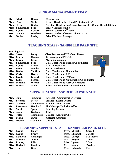#### **SENIOR MANAGEMENT TEAM**

| Mr.  | Mark             | <b>Hilton</b>  | <b>Headteacher</b>                                                     |
|------|------------------|----------------|------------------------------------------------------------------------|
| Mrs. | Ann              | <b>Wells</b>   | <b>Deputy Headteacher, Child Protection, S.E.N.</b>                    |
| Mrs. | Lynne            | <b>Giblin</b>  | <b>Assistant Headteacher/Senior Teacher of KS4 and Hospital School</b> |
|      | Miss. Shimenenge | Foga           | <b>Senior Teacher of KS3</b>                                           |
|      | Mrs. Lynda       | Kenrick        | <b>Senior Teacher of 6th Form</b>                                      |
|      | Mrs. Wendy       | <b>Henshaw</b> | <b>Senior Teacher of Home Tuition / ACE</b>                            |
| Ms.  | Kathy            | Leahey         | <b>School Business Manager</b>                                         |

#### **TEACHING STAFF - SANDFIELD PARK SITE**

|      | <b>Teaching Staff</b> |                  |                                                   |
|------|-----------------------|------------------|---------------------------------------------------|
|      | Miss. Susan           | <b>Barry</b>     | <b>Class Teacher and P.E. Co-ordinator</b>        |
|      | Miss. Marina          | <b>Cannon</b>    | <b>Technology and P.H.S.E.</b><br>$a^2 + b = c$   |
| Mrs. | Lorna                 | Evans            | <b>Music Co-ordinator</b>                         |
| Ms.  | <b>Shimenenge</b>     | Foga             | <b>Class Teacher and Science Co-ordinator</b>     |
| Mrs. | <b>Lynne</b>          | <b>Giblin</b>    | <b>ICT Co-ordinator</b>                           |
| Mr.  | Kevin                 | <b>Gauden</b>    | P.E. Co-ordinator                                 |
|      | Miss. Denise          | <b>McAlister</b> | <b>Class Teacher and Humanities</b>               |
|      | Miss. Carly           | <b>Hynes</b>     | <b>Class Teacher and R.E.</b>                     |
|      | Mrs. Lynda            | <b>Kenrick</b>   | <b>Class Teacher and 6th Form</b>                 |
| Mr.  | Luke                  | <b>Benson</b>    | <b>Class Teacher and Mathematics Co-ordinator</b> |
|      | Miss. Michaila        | Worrall          | <b>Class Teacher and ASD Co-ordinator</b>         |
|      | Miss. Melissa         | Gould            | <b>Class Teacher and ICT Co-ordinator</b>         |

#### **SUPPORT STAFF - SANDFIELD PARK SITE**

| Julie                 | <b>Cummins</b>      | <b>Personal / Administration Officer</b> |
|-----------------------|---------------------|------------------------------------------|
| <b>Stephen</b><br>Mr. | <b>Foster</b>       | <b>Finance / Exams Officer</b>           |
| Miss. Lauryn          | <b>Mills-Baines</b> | <b>Administration Officer</b>            |
| Mr. Lawrence          | <b>Hatchard</b>     | <b>Site Manager/Inclusion Officer</b>    |
| Sarah<br>Ms.          | Spoor               | <b>Learning Mentor</b>                   |
| <b>Jayne</b>          | Graham              | <b>Chef</b>                              |
| <b>Peter</b>          | <b>Humphries</b>    | <b>Cleaner / Assistant Chef</b>          |
| <b>Maria</b>          | <b>Irwin</b>        | <b>Catering Assistant</b>                |
| <b>Pauline</b>        | <b>McKenna</b>      | <b>Cleaner</b>                           |
|                       |                     |                                          |

#### **LEARNING SUPPORT STAFF - SANDFIELD PARK SITE**

| <b>Mrs</b> | Lynne         | <b>Bailey</b> |      | Miss. Michelle  | <b>Carroll</b>  |
|------------|---------------|---------------|------|-----------------|-----------------|
|            | Mrs. Lynne    | <b>Brown</b>  |      | Miss. Elizabeth | <b>Jarrett</b>  |
| Mrs.       | Kathleen      | Cavanagh      |      | Miss. Caragh    | <b>McAndrew</b> |
| Mr.        | Michael       | O'Neil        |      | Mrs. Angela     | <b>Taylor</b>   |
|            | Mrs. Lindsey  | <b>Ellis</b>  |      | Miss. Lynsey    | <b>Wood</b>     |
|            | Miss. Rachael | <b>Emblem</b> | Mr.  | <b>James</b>    | <b>Bradley</b>  |
| Mr.        | Tony          | Grey          | Mrs. | Deborah         | Fox             |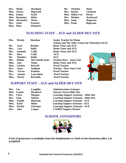|            | Mrs. Sheila           | <b>Hardman</b> |
|------------|-----------------------|----------------|
|            | Miss. Jessica         | Hopwood        |
|            | Miss. Emma            | Kayll          |
|            | <b>Miss. Rosemary</b> | <b>Hulse</b>   |
|            | Miss. Alexandra       | <b>Nixon</b>   |
|            | Mrs. Janet            | <b>Sweeney</b> |
| Miss. Mica |                       | Whinnett       |

**Mr. Nicholas Hunt Mrs. Hayley Clarkson Miss. Abbey-Lee Davies Mrs. Wioleta Kachroud Miss. Janet Rogerson Miss. Paula Rogerson**

#### **TEACHING STAFF – ACE and ALDER HEY SITE**

| Mrs.  | Wendy          | <b>Henshaw</b>         | <b>Senior Teacher for Home</b>                          |
|-------|----------------|------------------------|---------------------------------------------------------|
|       |                |                        | <b>Tuition and The Alder Centre for Education (ACE)</b> |
| Mr.   | Gary           | <b>Berkley</b>         | <b>Home Tutor and ACE</b>                               |
| Mrs.  | Lisa           | <b>Duffy</b>           | <b>Home Tutor and ACE</b>                               |
| Mrs.  | Amanda         | <b>Crilly</b>          | <b>Home Tutor and ACE</b>                               |
| Mr.   | <b>Ross</b>    | <b>Crilly</b>          | <b>ACE</b>                                              |
| Mr.   | <b>Matthew</b> | <b>Reilly</b>          | <b>ACE</b>                                              |
| Mrs.  | <b>Debbie</b>  | <b>McConnell-Jones</b> | ▭<br><b>Teacher Dewi - Jones Unit</b>                   |
| Miss. | Jane           | <b>Nolan</b>           | <b>Home Tutor and ACE</b>                               |
| Miss. | <b>Lindsey</b> | Worvell                | <b>Ward Teacher</b>                                     |
| Mrs.  | Anna           | <b>Snelham</b>         | <b>Teacher - Dewi Jones Unit</b>                        |
| Mrs.  | <b>Teresa</b>  | <b>Watkins</b>         | <b>Ward Teacher</b>                                     |
| Mrs.  | Joanne         | Lancashire             | <b>Ward Teacher</b>                                     |
| Miss. | <b>Kirsty</b>  | <b>Reynolds</b>        | <b>Ward Teacher</b>                                     |

#### **SUPPORT STAFF – ACE and ALDER HEY SITE**

| Mrs. Lin |                | Loughlin         | <b>Administration Assistant</b>               |
|----------|----------------|------------------|-----------------------------------------------|
|          | Miss. Connie   | <b>Mumford</b>   | <b>Nursery Nurse/Alder Hey</b>                |
| Mrs.     | <b>Chris</b>   | Morgan           | <b>Learning Support Assistant - Alder Hey</b> |
| Mrs.     | Gina           | <b>Neilson</b>   | <b>Learning Support Assistant - Alder Hey</b> |
| Miss.    | <b>Natalie</b> | <b>Blunsum</b>   | <b>Learning Support Assistant - ACE</b>       |
| Miss.    | Katie          | <b>Blake</b>     | <b>Learning Support Assistant - ACE</b>       |
| Miss.    | <b>Rachel</b>  | <b>Christian</b> | <b>Learning Support Assistant - ACE</b>       |
| Mrs.     | <b>Jane</b>    | Cooper           | <b>CAMHS Support Worker</b>                   |
|          |                |                  |                                               |

#### **SCHOOL GOVERNORS**



**A list of governors is available from the Headteacher or Clerk to the Governors (Mrs. Lin Loughlin)**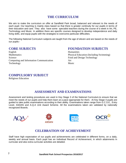#### **THE CURRICULUM**

We aim to make the curriculum on offer at Sandfield Park broad, balanced and relevant to the needs of each pupil. Our teaching is mainly class based so that there is greater continuity for our pupils in terms of their education and care. They also have some specialist teachers during the course of a week in Art, PE, Technology and Music. In addition there are specific courses designed to develop independence and daily living skills, and equip pupils with the strategies to overcome particular difficulties.

The following National Curriculum subjects are taught from the age of eleven and are based on the needs of our pupils:-

English Humanities Mathematics Physical Education (Including Swimming) Science **Food and Design Technology Food and Design Technology** Computing and Information Communication Art Technology Music

#### **CORE SUBJECTS FOUNDATION SUBJECTS**

#### **COMPULSORY SUBJECT**

Religious Education

#### **ASSESSMENT AND EXAMINATIONS**

Assessment and testing procedures are used in Key Stage 3 of the National Curriculum.to ensure that we meet the needs of our pupils and help them learn at a pace appropriate for them. At Key Stage 4 pupils are guided to take public examinations according to their ability. Examinations taken range from G.C.S.E., Entry Level, ASDAN and A.Q.A Unit Award Scheme. All the examinations taken are validated by nationally recognized Boards.









#### **CELEBRATION OF ACHIEVEMENT**

Staff have high expectation of our pupils and achievements are celebrated in different forms, on a daily, weekly and annual basis. Each pupil has an Individual Record of Achievement, in which attainments in curricular and also extra-curricular activities are detailed.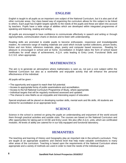#### **ENGLISH**

English is taught to all pupils as an important core subject of the National Curriculum, but it is also part of all other curricular areas. Our class based way of organizing the curriculum allows for this subject to be linked to others. Each pupil has English targets specific to the needs of the pupils and these are taken into account by teachers. Pupils have a wide range of abilities which are developed within integrated programmes of speaking and listening, reading and writing.

All pupils are encouraged to have confidence to communicate effectively in speech and writing or through signs/symbols, communication charts or devices and to listen with understanding.

Reading skills are promoted to enable pupils to become enthusiastic, responsive and knowledgeable readers. An extensive range of reading materials are used which include symbol collections, picture books, fiction and non fiction, reference materials, plays, poetry and computer based resources. Reading for pleasure is encouraged in school and at home. Accreditation in English takes the form of school based certificates for small steps of achievement, A.Q.A. units leading to Entry Level, Functional Skills and G.C.S.E. when appropriate.

#### **MATHEMATICS**

The aim is to generate an atmosphere where mathematics is seen as, not just a core subject within the National Curriculum but also as a worthwhile and enjoyable activity that will enhance the personal effectiveness of the individual.

All pupils will be given: -

- The opportunity and support to reach their full potential.
- Access to appropriate forms of public examinations and accreditation.
- Access to the full National Curriculum Programme of Study, where appropriate.
- Individual targets that will be regularly monitored assessed and updated.
- The chance to view Maths as an enjoyable and interesting aspect of education.

Special emphasis will be placed on developing number skills, mental work and life skills. All students are entered for accreditation at an appropriate level.

#### **SCIENCE**

Science in the school is centred on giving the pupils an understanding and enjoyment of the world around them through practical activities and outside visits. The courses are based on the National Curriculum and offer opportunities for taking part in GCSE and Entry Level. We also offer A.Q.A. units, which are certificated modules. All levels of ability are catered for in our fully equipped and functional laboratory.

#### **HUMANITIES**

The teaching and learning of History and Geography play an important role in the school's curriculum. They are taught at an appropriate academic and interest level that help make valuable contributions to many other areas of the curriculum. Teaching is based upon the requirements of the National Curriculum where appropriate and a variety of methods are used in order to meet the needs of the individual pupil.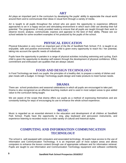#### **ART**

Art plays an important part in the curriculum by developing the pupils' ability to appreciate the visual world around them and to communicate their ideas in visual form through a variety of media.

Art is taught to all pupils throughout the school who are given the opportunity to experience different approaches to art in a happy secure and stimulating environment in which each child can develop their full potential. The programme of study provided seeks to ensure that all pupils are taught through their work to observe record, analyse, communicate, express and appraise to the best of their ability. Please see our school website for some excellent examples of Art produced by the pupils of the school.

#### **PHYSICAL EDUCATION**

Physical Education is very much an important part of the life of Sandfield Park School. P.E. is taught in an enjoyable, safe and positive environment. Each child is given every opportunity to reach his / her potential, taking into account the specific needs of individuals.

Pupils have the opportunity to partake in a range of physical activities including swimming and cycling. Each child is given the opportunity to develop self esteem through the development of physical confidence. Effort, commitment and enthusiasm are qualities that are always valued.

#### **FOOD AND DESIGN TECHNOLOGY**

In Food Technology we teach our pupils: the principles of a healthy diet; to prepare a variety of dishes and plan meals with a budget. In Design Technology pupils design and make products to meet human needs.

#### **DRAMA**

There are school productions and seasonal celebrations in which all pupils are encouraged to take part. Drama is also recognized as an effective teaching medium and is used in most subject areas to give added value to the curriculum being taught.

We are aware of the scope that drama offers our pupils as a method of expressing themselves and are constantly looking for ways of encouraging its use to enhance the whole school experience.

#### **MUSIC**

Music is regarded as an essential element in the education and development of all children at Sandfield Park School. Pupils have the opportunity to sing, play keyboard and percussion instruments, and experience listening to recorded music in a wide variety of cultural and historical styles.

#### **COMPUTING AND INFORMATION COMMUNICATION TECHNOLOGY**

The school is well equipped with computers and associated technology. All pupils have access to the use of Information and Communication Technology. It is an important part of most subject areas and allows computers to enhance the lesson content through use of appropriate software and for information retrieval. Pupils are taught to use Information and Communication Technology equipment and software confidently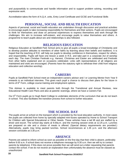and purposefully to communicate and handle information and to support problem solving, recording and expressive work.

Accreditation takes the form of A.Q.A. units, Entry Level Certificate and GCSE and Functional Skills

#### **PERSONAL, SOCIAL AND HEALTH EDUCATION**

Aspects of personal, social and health education are undertaken through discussion and practical activities to encourage pupils to take increasing responsibility for themselves and their actions. Pupils are encouraged to think for themselves and draw on personal experiences to express themselves and work through life challenges. We aim to increase self-esteem, and encourage pupils to value themselves and others. A programme to teach pupils about sex and relationships is also followed.

#### **RELIGIOUS EDUCATION**

Religious Education at Sandfield Park School aims to give all pupils a broad knowledge of Christianity and to develop positive attitudes to members of other faiths by learning about their beliefs and traditions. It is hoped that the teaching of R.E. will help our pupils to develop confidence in themselves, respect for others, and responsibility. Pupils will have one lesson a week in R.E. and take part in a corporate Act of worship each day. The main Christian Festivals e.g. Harvest, Christmas and Easter are celebrated and Festivals from other faiths explained and on occasions celebrated. Links with representatives of all religions are maintained and visits are encouraged. (Parents have the statutory right to withdraw their child from religious education and collective worship).

#### **CAREERS**

Pupils at Sandfield Park School meet an independent careers advisor and / or Learning Mentor from Year 9 onwards in an individual interview. This gives each pupil a chance to discuss their plans for the future in terms of 6<sup>th</sup> Form, college course training and employment options.

This Adviser is available to meet parents both through the Transitional and Annual Reviews, new Educational Health Care Plans and also at parents' evenings, where we have a Careers Fair.

Our 6<sup>th</sup> Form pupils go to Hugh Baird College to undertake elements of the curriculum that we do not teach in school. This also facilitates the transition process from school to further education.

#### **THE SCHOOL DAY**

The pupils arrive at school on the transport which is provided by the local education authority. In most cases the pupils are collected from home by specially adapted mini-buses operated by Home to School Transport for Children with Special Educational or Other Needs. These vehicles have a tail lift and are staffed by a driver and escort. The school day starts at 9.00a.m. and the morning session ends at 12.25 p.m. Lunches are prepared on site and a choice of meals is offered. (Special dietary requirements are provided.) Alternatively, pupils may bring packed lunches. School recommences at 1.35 p.m. and the afternoon session concludes at 3.30 p.m.

#### **ABSENCE**

Parents are asked to inform school as soon as possible on the first day that their child is absent, preferably before 9.00 a.m. if school does not receive a telephone message by 9.30 a.m. then we will try to contact parents by telephone. If this does not prove possible then we will send out a letter requesting that parents contact the school. If we do not receive an explanation then unfortunately the absence must be classed as *unauthorized.*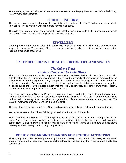When arranging respite during term time parents must contact the Deputy Headteacher, before the holiday, to confirm the arrangements.

#### **SCHOOL UNIFORM**

The school uniform consists of a navy blue sweatshirt with a yellow polo style T-shirt underneath, available from school. These are worn with appropriate navy skirt or pants.

The sixth form wears a grey school sweatshirt with black or white polo style T-shirt underneath, available from school. These are work with appropriate navy skirt or pants.

#### **JEWELLERY**

On the grounds of health and safety, it is permissible for pupils to wear only limited items of jewellery e.g. simple stud ear-rings. The wearing of hoop or pendant earrings, necklaces or other adornments, except on religious grounds, is not allowed.

#### **EXTENDED EDUCATIONAL OPPORTUNITIES AND SPORTS**

#### *The Calvert Trust Outdoor Centre in The Lake District*

The school offers a wide and varied range of extra-curricular activities, both within the school day and also outside school hours. Pupils are encouraged to be involved in a variety of competitions, organized by the school itself or by other agencies. They take part in a wide range of sporting activities such as hockey, basketball, swimming, Boccia and athletics, both at local and national level. Many outings are arranged for all pupils during the year to develop educational and social experience. The school owns three specially adapted mini-buses that greatly facilitate such expeditions.

One of our main aims at Sandfield Park is to encourage all pupils to develop a high standard of confidence and independence and residential experience is given much emphasis. Pupils are given the opportunity to be involved in a variety of residential visits organized at different venues throughout the year, e.g. The Calvert Trust Outdoor Pursuit Centre in the Lake District.

The school has an independent Riding Group and provides riding holidays each year for selected pupils.

We have also started the Duke of Edinburgh accreditation for our  $6<sup>th</sup>$  Form pupils.

The school runs a variety of after school sports clubs and a number of lunchtime sporting activities and clubs. The school is also involved in regional and national athletics, boccia, cricket and swimming competitions. Sandfield Park also has its own girls and boys football teams and members of these teams have represented Merseyside in county competitions.

#### **POLICY REGARDING CHARGES FOR SCHOOL ACTIVITIES**

The majority of activities that take place during the school day e.g. visit to local shops, parks, etc, are free of charge. For some that incur expenses e.g. cost of admission, the pupil may be invited to make a voluntary contribution.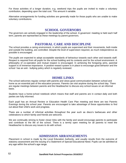For those activities of a longer duration, e.g. weekend trips the pupils are invited to make a voluntary contribution, depending upon the total cost. This amount it variable.

Alternative arrangements for funding activities are generally made for those pupils who are unable to make voluntary contributions.

#### **SCHOOL GOVERNORS**

The governors are actively engaged in the leadership of the school. A governors' meeting is held each half term, parents are represented as these meetings by parent governors.

#### **PASTORAL CARE AND DISCIPLINE**

The school provides a caring environment, in which pupils are supervised and their movements, both inside and outside the building, are controlled. Despite the level of supervision required, as much independence as possible is encouraged.

The pupils are expected to adopt acceptable standards of behaviour towards each other and towards staff. Respect is required from all pupils for the school building and its contents and for the school environment. A philosophy of co-operation and mutual respect is encouraged. In achieving the foregoing aims, parental support is of immense importance. A positive reward system is in place to encourage good behavior and the school has an anti - bullying policy which is regularly reviewed.

#### **HOME LINKS**

The school welcomes regular contact with parents and views good communication between school and home as an essential part of the education process. Parents can visit anytime during the school day. There are regular meetings between parents and the Headteacher to discuss any school issues on an informal basis.

Students have a home-school notebook which means that staff and parents are in contact daily and both parties are fully informed.

Each pupil has an Annual Review or Education Health Care Plan meeting and there are two Parents Evenings during the school year. Parents are encouraged to take advantage of these opportunities to find out about their child's work and progress.

There are a number of informal activities throughout the year such as disco's barbecues and other celebrations to which family and friends are welcome.

We are continually striving to foster closer links with the family and would encourage parents to participate and contribute to the life of the school. There is a termly open meeting for all parents to meet the Headteacher to discuss any issues to do with school.

#### **ADMISSION ARRANGEMENTS**

Placement in school is made by the Local Education Authority, and usually results from the outcome of statutory assessment and the issuing of a Statement of Special Educational Need. Pupils can be admitted at any age within the school's age range.